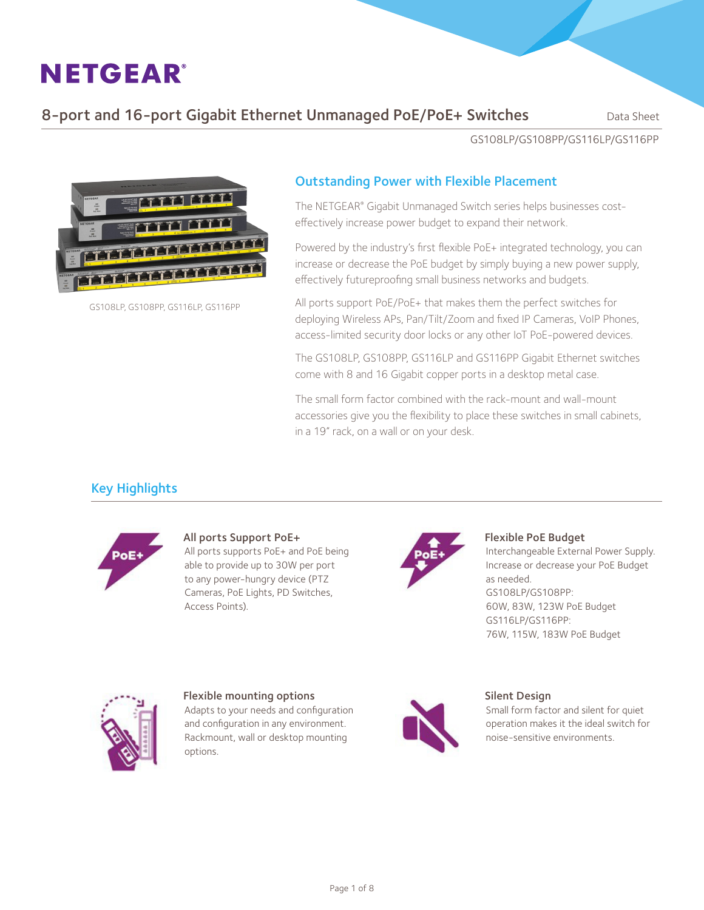8-port and 16-port Gigabit Ethernet Unmanaged PoE/PoE+ Switches Data Sheet

GS108LP/GS108PP/GS116LP/GS116PP



GS108LP, GS108PP, GS116LP, GS116PP

#### Outstanding Power with Flexible Placement

The NETGEAR® Gigabit Unmanaged Switch series helps businesses costeffectively increase power budget to expand their network.

Powered by the industry's first flexible PoE+ integrated technology, you can increase or decrease the PoE budget by simply buying a new power supply, effectively futureproofing small business networks and budgets.

All ports support PoE/PoE+ that makes them the perfect switches for deploying Wireless APs, Pan/Tilt/Zoom and fixed IP Cameras, VoIP Phones, access-limited security door locks or any other IoT PoE-powered devices.

The GS108LP, GS108PP, GS116LP and GS116PP Gigabit Ethernet switches come with 8 and 16 Gigabit copper ports in a desktop metal case.

The small form factor combined with the rack-mount and wall-mount accessories give you the flexibility to place these switches in small cabinets, in a 19" rack, on a wall or on your desk.

### Key Highlights



#### All ports Support PoE+

All ports supports PoE+ and PoE being able to provide up to 30W per port to any power-hungry device (PTZ Cameras, PoE Lights, PD Switches, Access Points).



#### Flexible PoE Budget

Interchangeable External Power Supply. Increase or decrease your PoE Budget as needed. GS108LP/GS108PP: 60W, 83W, 123W PoE Budget GS116LP/GS116PP: 76W, 115W, 183W PoE Budget



#### Flexible mounting options

Adapts to your needs and configuration and configuration in any environment. Rackmount, wall or desktop mounting options.



#### Silent Design

Small form factor and silent for quiet operation makes it the ideal switch for noise-sensitive environments.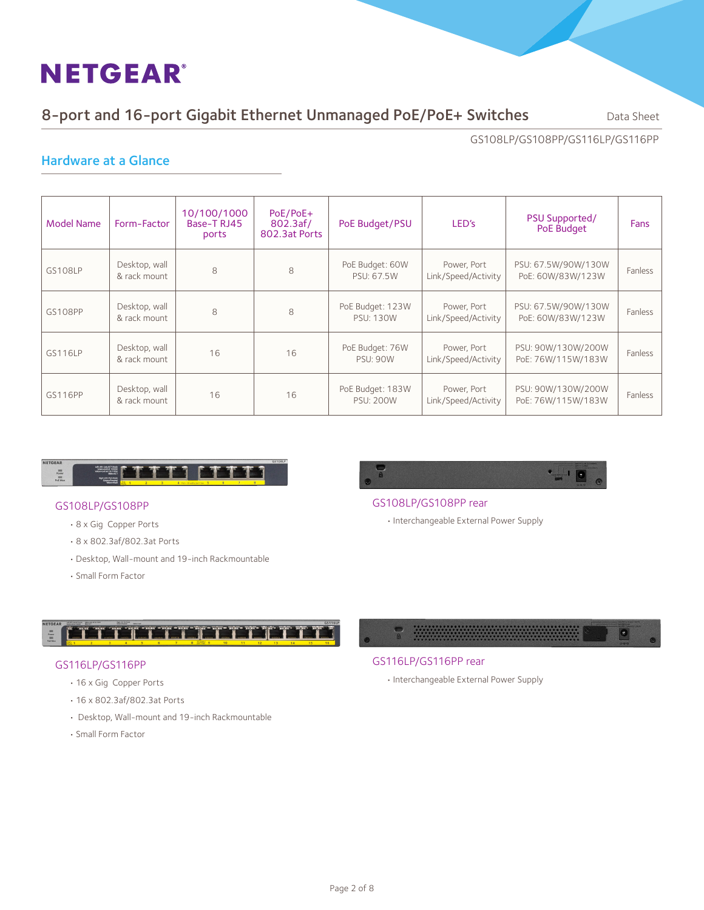## 8-port and 16-port Gigabit Ethernet Unmanaged PoE/PoE+ Switches Data Sheet

GS108LP/GS108PP/GS116LP/GS116PP

### Hardware at a Glance

| <b>Model Name</b> | Form-Factor                   | 10/100/1000<br>Base-T RJ45<br>ports | PoE/PoE+<br>802.3af/<br>802.3at Ports | PoE Budget/PSU                       | LED's                              | <b>PSU Supported/</b><br>PoE Budget      | Fans    |
|-------------------|-------------------------------|-------------------------------------|---------------------------------------|--------------------------------------|------------------------------------|------------------------------------------|---------|
| <b>GS108LP</b>    | Desktop, wall<br>& rack mount | 8                                   | 8                                     | PoE Budget: 60W<br>PSU: 67.5W        | Power, Port<br>Link/Speed/Activity | PSU: 67.5W/90W/130W<br>PoE: 60W/83W/123W | Fanless |
| <b>GS108PP</b>    | Desktop, wall<br>& rack mount | 8                                   | 8                                     | PoE Budget: 123W<br><b>PSU: 130W</b> | Power, Port<br>Link/Speed/Activity | PSU: 67.5W/90W/130W<br>PoE: 60W/83W/123W | Fanless |
| GS116LP           | Desktop, wall<br>& rack mount | 16                                  | 16                                    | PoE Budget: 76W<br><b>PSU: 90W</b>   | Power, Port<br>Link/Speed/Activity | PSU: 90W/130W/200W<br>PoE: 76W/115W/183W | Fanless |
| GS116PP           | Desktop, wall<br>& rack mount | 16                                  | 16                                    | PoE Budget: 183W<br><b>PSU: 200W</b> | Power, Port<br>Link/Speed/Activity | PSU: 90W/130W/200W<br>PoE: 76W/115W/183W | Fanless |

#### NETGEAR <u>s arti nit</u>  $\begin{array}{c}\n\hline\n\text{Rower} \\
\hline\n\text{Rower} \\
\text{PoE Max}\n\end{array}$

#### GS108LP/GS108PP

- • 8 x Gig Copper Ports
- • 8 x 802.3af/802.3at Ports
- • Desktop, Wall-mount and 19-inch Rackmountable
- • Small Form Factor

#### فالحاجات والحاجا البارجان بالجانبات T

#### GS116LP/GS116PP

- 16 x Gig Copper Ports
- • 16 x 802.3af/802.3at Ports
- • Desktop, Wall-mount and 19-inch Rackmountable
- • Small Form Factor



#### GS108LP/GS108PP rear

• Interchangeable External Power Supply



#### GS116LP/GS116PP rear

• Interchangeable External Power Supply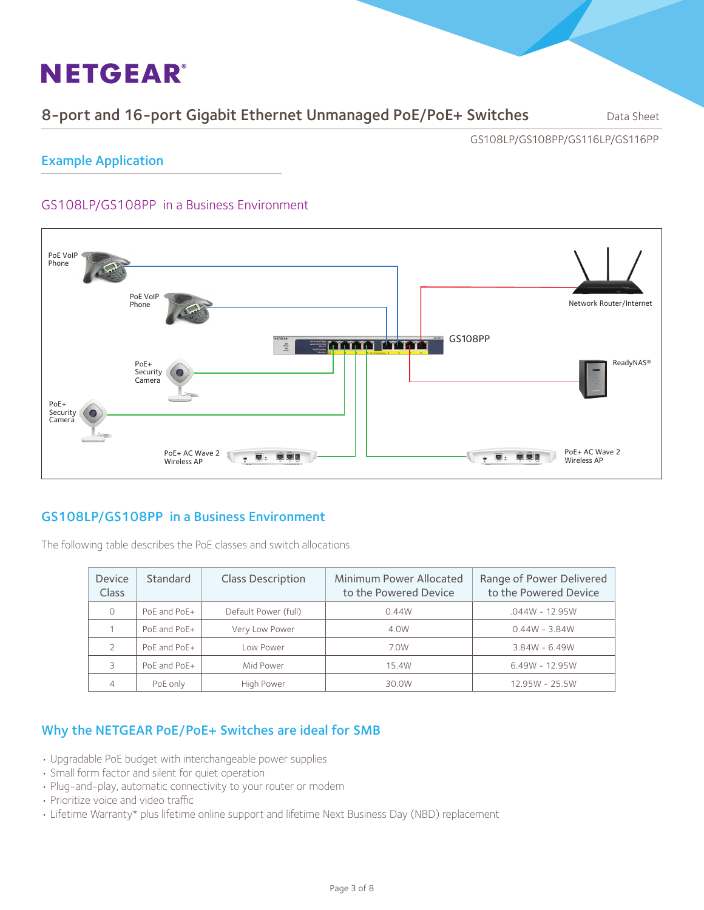### 8-port and 16-port Gigabit Ethernet Unmanaged PoE/PoE+ Switches Data Sheet

#### Example Application

GS108LP/GS108PP/GS116LP/GS116PP

### GS108LP/GS108PP in a Business Environment



#### GS108LP/GS108PP in a Business Environment

The following table describes the PoE classes and switch allocations.

| Device<br><b>Class</b> | Standard     | <b>Class Description</b> | Minimum Power Allocated<br>to the Powered Device | Range of Power Delivered<br>to the Powered Device |
|------------------------|--------------|--------------------------|--------------------------------------------------|---------------------------------------------------|
| $\Omega$               | PoE and PoE+ | Default Power (full)     | 0.44W                                            | $.044W - 12.95W$                                  |
|                        | PoE and PoE+ | Very Low Power           | 4.0W                                             | $0.44W - 3.84W$                                   |
|                        | PoE and PoE+ | Low Power                | 7.0W                                             | $3.84W - 6.49W$                                   |
|                        | PoE and PoE+ | Mid Power                | 15.4W                                            | $6.49W - 12.95W$                                  |
| 4                      | PoE only     | High Power               | 30.0W                                            | 12.95W - 25.5W                                    |

### Why the NETGEAR PoE/PoE+ Switches are ideal for SMB

- Upgradable PoE budget with interchangeable power supplies
- Small form factor and silent for quiet operation
- Plug-and-play, automatic connectivity to your router or modem
- Prioritize voice and video traffic
- Lifetime Warranty\* plus lifetime online support and lifetime Next Business Day (NBD) replacement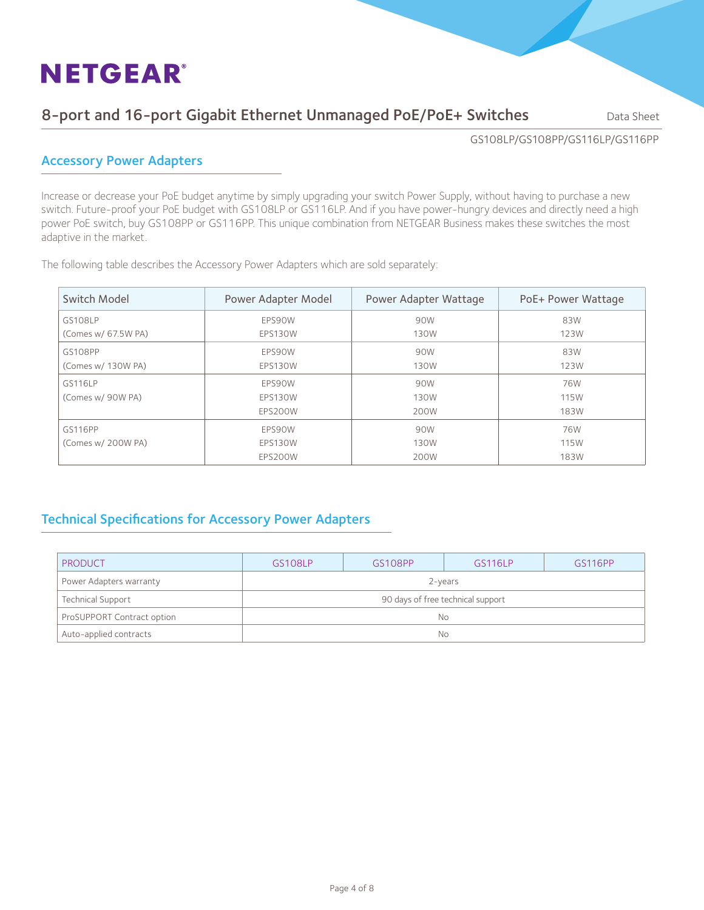## 8-port and 16-port Gigabit Ethernet Unmanaged PoE/PoE+ Switches Data Sheet

GS108LP/GS108PP/GS116LP/GS116PP

#### Accessory Power Adapters

Increase or decrease your PoE budget anytime by simply upgrading your switch Power Supply, without having to purchase a new switch. Future-proof your PoE budget with GS108LP or GS116LP. And if you have power-hungry devices and directly need a high power PoE switch, buy GS108PP or GS116PP. This unique combination from NETGEAR Business makes these switches the most adaptive in the market.

The following table describes the Accessory Power Adapters which are sold separately:

| Switch Model        | Power Adapter Model<br>Power Adapter Wattage |             | PoE+ Power Wattage |  |
|---------------------|----------------------------------------------|-------------|--------------------|--|
| GS108LP             | EPS90W                                       | 90W         | 83W                |  |
| (Comes w/ 67.5W PA) | EPS130W                                      | <b>130W</b> | 123W               |  |
| GS108PP             | EPS90W                                       | 90W         | 83W                |  |
| (Comes w/ 130W PA)  | EPS130W                                      | 130W        | 123W               |  |
| GS116LP             | EPS90W                                       | 90W         | 76W                |  |
| (Comes w/ 90W PA)   | <b>EPS130W</b>                               | 130W        | 115W               |  |
|                     | EPS200W                                      | 200W        | <b>183W</b>        |  |
| GS116PP             | EPS90W                                       | 90W         | 76W                |  |
| (Comes w/ 200W PA)  | EPS130W                                      | 130W        | 115W               |  |
|                     | EPS200W                                      | 200W        | <b>183W</b>        |  |

### Technical Specifications for Accessory Power Adapters

| <b>PRODUCT</b>             | <b>GS108LP</b>                    | GS108PP | GS116LP | <b>GS116PP</b> |  |  |
|----------------------------|-----------------------------------|---------|---------|----------------|--|--|
| Power Adapters warranty    | 2-years                           |         |         |                |  |  |
| <b>Technical Support</b>   | 90 days of free technical support |         |         |                |  |  |
| ProSUPPORT Contract option | Νo                                |         |         |                |  |  |
| Auto-applied contracts     | Nο                                |         |         |                |  |  |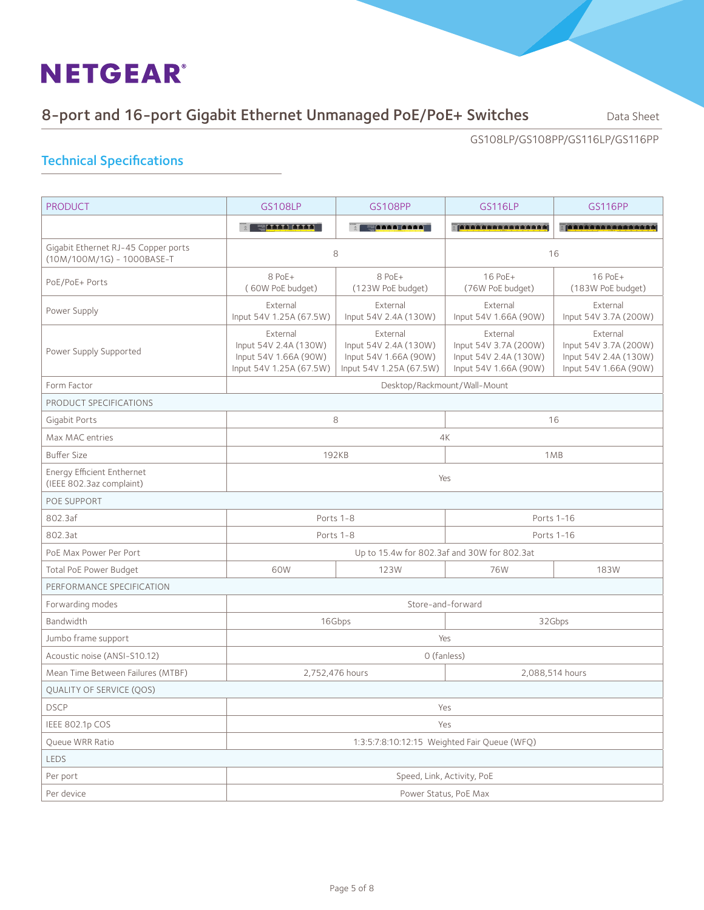## 8-port and 16-port Gigabit Ethernet Unmanaged PoE/PoE+ Switches Data Sheet

GS108LP/GS108PP/GS116LP/GS116PP

## Technical Specifications

| <b>PRODUCT</b>                                                    | <b>GS108LP</b>                                                                        | <b>GS108PP</b>                                                                        | <b>GS116LP</b>                                                                      | <b>GS116PP</b>                                                                      |  |
|-------------------------------------------------------------------|---------------------------------------------------------------------------------------|---------------------------------------------------------------------------------------|-------------------------------------------------------------------------------------|-------------------------------------------------------------------------------------|--|
|                                                                   | <b>Market Anna</b><br>$\frac{1}{2}$                                                   | <b>WATER STATE</b>                                                                    |                                                                                     | . <b>A B B B B B B B B B B B B B B B</b>                                            |  |
| Gigabit Ethernet RJ-45 Copper ports<br>(10M/100M/1G) - 1000BASE-T | 8                                                                                     |                                                                                       | 16                                                                                  |                                                                                     |  |
| PoE/PoE+ Ports                                                    | 8 PoE+<br>(60W PoE budget)                                                            | 8 PoE+<br>(123W PoE budget)                                                           | 16 PoE+<br>(76W PoE budget)                                                         | 16 PoE+<br>(183W PoE budget)                                                        |  |
| Power Supply                                                      | External<br>Input 54V 1.25A (67.5W)                                                   | External<br>Input 54V 2.4A (130W)                                                     | External<br>Input 54V 1.66A (90W)                                                   | External<br>Input 54V 3.7A (200W)                                                   |  |
| Power Supply Supported                                            | External<br>Input 54V 2.4A (130W)<br>Input 54V 1.66A (90W)<br>Input 54V 1.25A (67.5W) | External<br>Input 54V 2.4A (130W)<br>Input 54V 1.66A (90W)<br>Input 54V 1.25A (67.5W) | External<br>Input 54V 3.7A (200W)<br>Input 54V 2.4A (130W)<br>Input 54V 1.66A (90W) | External<br>Input 54V 3.7A (200W)<br>Input 54V 2.4A (130W)<br>Input 54V 1.66A (90W) |  |
| Form Factor                                                       |                                                                                       |                                                                                       | Desktop/Rackmount/Wall-Mount                                                        |                                                                                     |  |
| PRODUCT SPECIFICATIONS                                            |                                                                                       |                                                                                       |                                                                                     |                                                                                     |  |
| Gigabit Ports                                                     |                                                                                       | 8                                                                                     |                                                                                     | 16                                                                                  |  |
| Max MAC entries                                                   |                                                                                       |                                                                                       | 4K                                                                                  |                                                                                     |  |
| <b>Buffer Size</b>                                                | 192KB                                                                                 |                                                                                       | 1MB                                                                                 |                                                                                     |  |
| Energy Efficient Enthernet<br>(IEEE 802.3az complaint)            | Yes                                                                                   |                                                                                       |                                                                                     |                                                                                     |  |
| POE SUPPORT                                                       |                                                                                       |                                                                                       |                                                                                     |                                                                                     |  |
| 802.3af                                                           |                                                                                       | Ports 1-8                                                                             |                                                                                     | Ports 1-16                                                                          |  |
| 802.3at                                                           | Ports 1-8                                                                             |                                                                                       |                                                                                     | Ports 1-16                                                                          |  |
| PoE Max Power Per Port                                            |                                                                                       |                                                                                       | Up to 15.4w for 802.3af and 30W for 802.3at                                         |                                                                                     |  |
| Total PoE Power Budget                                            | 60W                                                                                   | 123W                                                                                  | 76W                                                                                 | <b>183W</b>                                                                         |  |
| PERFORMANCE SPECIFICATION                                         |                                                                                       |                                                                                       |                                                                                     |                                                                                     |  |
| Forwarding modes                                                  | Store-and-forward                                                                     |                                                                                       |                                                                                     |                                                                                     |  |
| Bandwidth                                                         | 16Gbps<br>32Gbps                                                                      |                                                                                       |                                                                                     |                                                                                     |  |
| Jumbo frame support                                               | Yes                                                                                   |                                                                                       |                                                                                     |                                                                                     |  |
| Acoustic noise (ANSI-S10.12)                                      | O (fanless)                                                                           |                                                                                       |                                                                                     |                                                                                     |  |
| Mean Time Between Failures (MTBF)                                 | 2,752,476 hours<br>2,088,514 hours                                                    |                                                                                       |                                                                                     |                                                                                     |  |
| QUALITY OF SERVICE (QOS)                                          |                                                                                       |                                                                                       |                                                                                     |                                                                                     |  |
| <b>DSCP</b>                                                       | Yes                                                                                   |                                                                                       |                                                                                     |                                                                                     |  |
| IEEE 802.1p COS                                                   | Yes                                                                                   |                                                                                       |                                                                                     |                                                                                     |  |
| Queue WRR Ratio                                                   | 1:3:5:7:8:10:12:15 Weighted Fair Queue (WFQ)                                          |                                                                                       |                                                                                     |                                                                                     |  |
| LEDS                                                              |                                                                                       |                                                                                       |                                                                                     |                                                                                     |  |
| Per port                                                          | Speed, Link, Activity, PoE                                                            |                                                                                       |                                                                                     |                                                                                     |  |
| Per device                                                        | Power Status, PoE Max                                                                 |                                                                                       |                                                                                     |                                                                                     |  |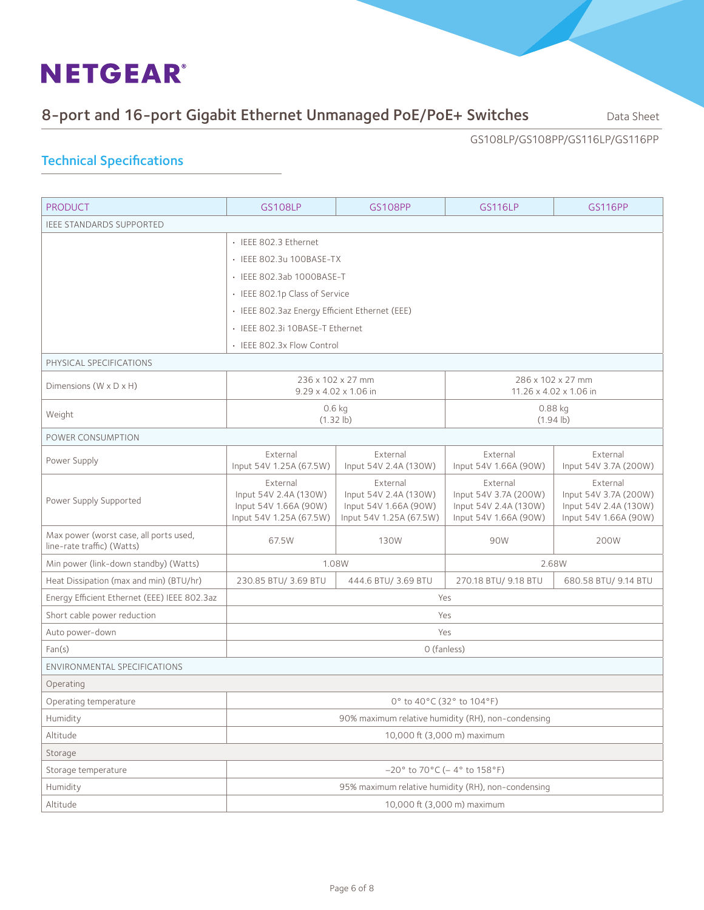## 8-port and 16-port Gigabit Ethernet Unmanaged PoE/PoE+ Switches Data Sheet

GS108LP/GS108PP/GS116LP/GS116PP

## Technical Specifications

| <b>PRODUCT</b>                                                       | <b>GS108LP</b>                                                                        | <b>GS108PP</b>                                                                        | <b>GS116LP</b>                                                                      | <b>GS116PP</b>                                                                      |  |  |
|----------------------------------------------------------------------|---------------------------------------------------------------------------------------|---------------------------------------------------------------------------------------|-------------------------------------------------------------------------------------|-------------------------------------------------------------------------------------|--|--|
| <b>IEEE STANDARDS SUPPORTED</b>                                      |                                                                                       |                                                                                       |                                                                                     |                                                                                     |  |  |
|                                                                      | · IEEE 802.3 Ethernet                                                                 |                                                                                       |                                                                                     |                                                                                     |  |  |
|                                                                      | • IEEE 802.3u 100BASE-TX                                                              |                                                                                       |                                                                                     |                                                                                     |  |  |
|                                                                      | · IEEE 802.3ab 1000BASE-T                                                             |                                                                                       |                                                                                     |                                                                                     |  |  |
|                                                                      | • IEEE 802.1p Class of Service                                                        |                                                                                       |                                                                                     |                                                                                     |  |  |
|                                                                      | · IEEE 802.3az Energy Efficient Ethernet (EEE)                                        |                                                                                       |                                                                                     |                                                                                     |  |  |
|                                                                      | · IEEE 802.3i 10BASE-T Ethernet                                                       |                                                                                       |                                                                                     |                                                                                     |  |  |
|                                                                      | • IEEE 802.3x Flow Control                                                            |                                                                                       |                                                                                     |                                                                                     |  |  |
| PHYSICAL SPECIFICATIONS                                              |                                                                                       |                                                                                       |                                                                                     |                                                                                     |  |  |
| Dimensions ( $W \times D \times H$ )                                 |                                                                                       | 236 x 102 x 27 mm<br>$9.29 \times 4.02 \times 1.06$ in                                | 286 x 102 x 27 mm<br>11.26 x 4.02 x 1.06 in                                         |                                                                                     |  |  |
| Weight                                                               |                                                                                       | $0.6$ kg<br>$(1.32 \text{ lb})$                                                       | $0.88$ kg<br>$(1.94 \text{ lb})$                                                    |                                                                                     |  |  |
| POWER CONSUMPTION                                                    |                                                                                       |                                                                                       |                                                                                     |                                                                                     |  |  |
| Power Supply                                                         | External<br>Input 54V 1.25A (67.5W)                                                   | External<br>Input 54V 2.4A (130W)                                                     | External<br>Input 54V 1.66A (90W)                                                   | External<br>Input 54V 3.7A (200W)                                                   |  |  |
| Power Supply Supported                                               | External<br>Input 54V 2.4A (130W)<br>Input 54V 1.66A (90W)<br>Input 54V 1.25A (67.5W) | External<br>Input 54V 2.4A (130W)<br>Input 54V 1.66A (90W)<br>Input 54V 1.25A (67.5W) | External<br>Input 54V 3.7A (200W)<br>Input 54V 2.4A (130W)<br>Input 54V 1.66A (90W) | External<br>Input 54V 3.7A (200W)<br>Input 54V 2.4A (130W)<br>Input 54V 1.66A (90W) |  |  |
| Max power (worst case, all ports used,<br>line-rate traffic) (Watts) | 67.5W                                                                                 | <b>130W</b>                                                                           | 90W                                                                                 | 200W                                                                                |  |  |
| Min power (link-down standby) (Watts)                                | 1.08W                                                                                 |                                                                                       | 2.68W                                                                               |                                                                                     |  |  |
| Heat Dissipation (max and min) (BTU/hr)                              | 230.85 BTU/ 3.69 BTU                                                                  | 444.6 BTU/ 3.69 BTU                                                                   | 270.18 BTU/ 9.18 BTU                                                                | 680.58 BTU/ 9.14 BTU                                                                |  |  |
| Energy Efficient Ethernet (EEE) IEEE 802.3az                         | Yes                                                                                   |                                                                                       |                                                                                     |                                                                                     |  |  |
| Short cable power reduction                                          | Yes                                                                                   |                                                                                       |                                                                                     |                                                                                     |  |  |
| Auto power-down                                                      | Yes                                                                                   |                                                                                       |                                                                                     |                                                                                     |  |  |
| Fan(s)                                                               | O (fanless)                                                                           |                                                                                       |                                                                                     |                                                                                     |  |  |
| <b>ENVIRONMENTAL SPECIFICATIONS</b>                                  |                                                                                       |                                                                                       |                                                                                     |                                                                                     |  |  |
| Operating                                                            |                                                                                       |                                                                                       |                                                                                     |                                                                                     |  |  |
| Operating temperature                                                | 0° to 40°C (32° to 104°F)                                                             |                                                                                       |                                                                                     |                                                                                     |  |  |
| Humidity                                                             | 90% maximum relative humidity (RH), non-condensing                                    |                                                                                       |                                                                                     |                                                                                     |  |  |
| Altitude                                                             | 10,000 ft (3,000 m) maximum                                                           |                                                                                       |                                                                                     |                                                                                     |  |  |
| Storage                                                              |                                                                                       |                                                                                       |                                                                                     |                                                                                     |  |  |
| Storage temperature                                                  | $-20^{\circ}$ to 70°C (-4° to 158°F)                                                  |                                                                                       |                                                                                     |                                                                                     |  |  |
| Humidity                                                             | 95% maximum relative humidity (RH), non-condensing                                    |                                                                                       |                                                                                     |                                                                                     |  |  |
| Altitude                                                             | 10,000 ft (3,000 m) maximum                                                           |                                                                                       |                                                                                     |                                                                                     |  |  |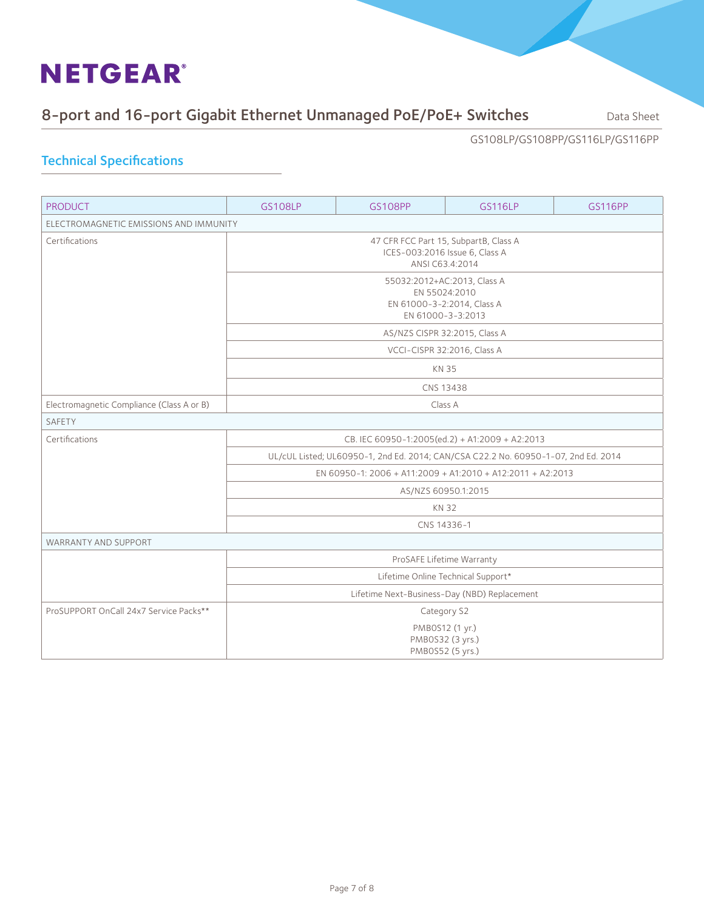## 8-port and 16-port Gigabit Ethernet Unmanaged PoE/PoE+ Switches Data Sheet

GS108LP/GS108PP/GS116LP/GS116PP

## Technical Specifications

| <b>PRODUCT</b>                            | <b>GS108LP</b><br><b>GS108PP</b><br><b>GS116LP</b><br><b>GS116PP</b>                            |                             |              |  |  |  |
|-------------------------------------------|-------------------------------------------------------------------------------------------------|-----------------------------|--------------|--|--|--|
| ELECTROMAGNETIC EMISSIONS AND IMMUNITY    |                                                                                                 |                             |              |  |  |  |
| Certifications                            | 47 CFR FCC Part 15, SubpartB, Class A<br>ICES-003:2016 Issue 6, Class A<br>ANSI C63.4:2014      |                             |              |  |  |  |
|                                           | 55032:2012+AC:2013, Class A<br>EN 55024:2010<br>EN 61000-3-2:2014, Class A<br>EN 61000-3-3:2013 |                             |              |  |  |  |
|                                           | AS/NZS CISPR 32:2015, Class A                                                                   |                             |              |  |  |  |
|                                           |                                                                                                 | VCCI-CISPR 32:2016, Class A |              |  |  |  |
|                                           |                                                                                                 |                             | <b>KN 35</b> |  |  |  |
|                                           | CNS 13438                                                                                       |                             |              |  |  |  |
| Electromagnetic Compliance (Class A or B) | Class A                                                                                         |                             |              |  |  |  |
| SAFETY                                    |                                                                                                 |                             |              |  |  |  |
| Certifications                            | CB. IEC 60950-1:2005(ed.2) + A1:2009 + A2:2013                                                  |                             |              |  |  |  |
|                                           | UL/cUL Listed; UL60950-1, 2nd Ed. 2014; CAN/CSA C22.2 No. 60950-1-07, 2nd Ed. 2014              |                             |              |  |  |  |
|                                           | EN 60950-1: 2006 + A11:2009 + A1:2010 + A12:2011 + A2:2013                                      |                             |              |  |  |  |
|                                           | AS/NZS 60950.1:2015                                                                             |                             |              |  |  |  |
|                                           | <b>KN32</b>                                                                                     |                             |              |  |  |  |
|                                           | CNS 14336-1                                                                                     |                             |              |  |  |  |
| WARRANTY AND SUPPORT                      |                                                                                                 |                             |              |  |  |  |
| ProSAFE Lifetime Warranty                 |                                                                                                 |                             |              |  |  |  |
|                                           | Lifetime Online Technical Support*                                                              |                             |              |  |  |  |
|                                           | Lifetime Next-Business-Day (NBD) Replacement                                                    |                             |              |  |  |  |
| ProSUPPORT OnCall 24x7 Service Packs**    | Category S2                                                                                     |                             |              |  |  |  |
|                                           | PMB0S12 (1 yr.)<br>PMB0S32 (3 yrs.)<br>PMB0S52 (5 yrs.)                                         |                             |              |  |  |  |